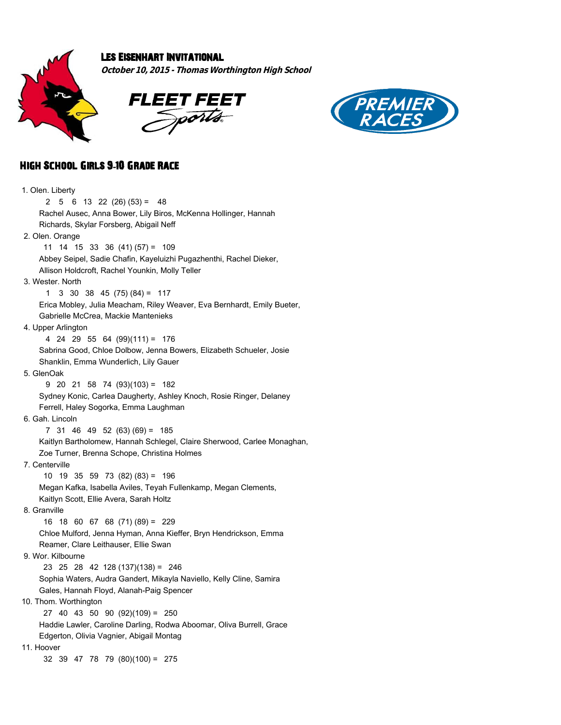

## Les Eisenhart Invitational

**October 10, 2015 - Thomas Worthington High School**





## High School Girls 9**-**10 Grade Race

| 1. Olen. Liberty                                                        |
|-------------------------------------------------------------------------|
| $5 \t6 \t13 \t22 \t(26) \t(53) = 48$<br>2                               |
| Rachel Ausec, Anna Bower, Lily Biros, McKenna Hollinger, Hannah         |
| Richards, Skylar Forsberg, Abigail Neff                                 |
| 2. Olen. Orange                                                         |
| 11 14 15 33 36 (41) (57) = 109                                          |
| Abbey Seipel, Sadie Chafin, Kayeluizhi Pugazhenthi, Rachel Dieker,      |
| Allison Holdcroft, Rachel Younkin, Molly Teller                         |
| 3. Wester, North                                                        |
| 3 30 38 45 $(75) (84) = 117$<br>1                                       |
| Erica Mobley, Julia Meacham, Riley Weaver, Eva Bernhardt, Emily Bueter, |
| Gabrielle McCrea, Mackie Mantenieks                                     |
| 4. Upper Arlington                                                      |
| 4 24 29 55 64 (99)(111) = 176                                           |
| Sabrina Good, Chloe Dolbow, Jenna Bowers, Elizabeth Schueler, Josie     |
| Shanklin, Emma Wunderlich, Lily Gauer                                   |
| 5. GlenOak                                                              |
| $9$ 20 21 58 74 (93)(103) = 182                                         |
| Sydney Konic, Carlea Daugherty, Ashley Knoch, Rosie Ringer, Delaney     |
| Ferrell, Haley Sogorka, Emma Laughman                                   |
| 6. Gah. Lincoln                                                         |
| 7 31 46 49 52 (63) (69) = 185                                           |
| Kaitlyn Bartholomew, Hannah Schlegel, Claire Sherwood, Carlee Monaghan, |
| Zoe Turner, Brenna Schope, Christina Holmes                             |
| 7. Centerville                                                          |
| 10 19 35 59 73 (82) (83) = 196                                          |
| Megan Kafka, Isabella Aviles, Teyah Fullenkamp, Megan Clements,         |
| Kaitlyn Scott, Ellie Avera, Sarah Holtz                                 |
| 8. Granville                                                            |
| 16 18 60 67 68 (71) (89) = 229                                          |
| Chloe Mulford, Jenna Hyman, Anna Kieffer, Bryn Hendrickson, Emma        |
| Reamer, Clare Leithauser, Ellie Swan                                    |
| 9. Wor. Kilbourne                                                       |
| 23 25 28 42 128 (137) (138) = 246                                       |
| Sophia Waters, Audra Gandert, Mikayla Naviello, Kelly Cline, Samira     |
| Gales, Hannah Floyd, Alanah-Paig Spencer                                |
| 10. Thom. Worthington                                                   |
| 27 40 43 50 90 (92)(109) = 250                                          |
| Haddie Lawler, Caroline Darling, Rodwa Aboomar, Oliva Burrell, Grace    |
| Edgerton, Olivia Vagnier, Abigail Montag                                |
| 11. Hoover                                                              |
| 32 39 47 78 79 (80)(100) = 275                                          |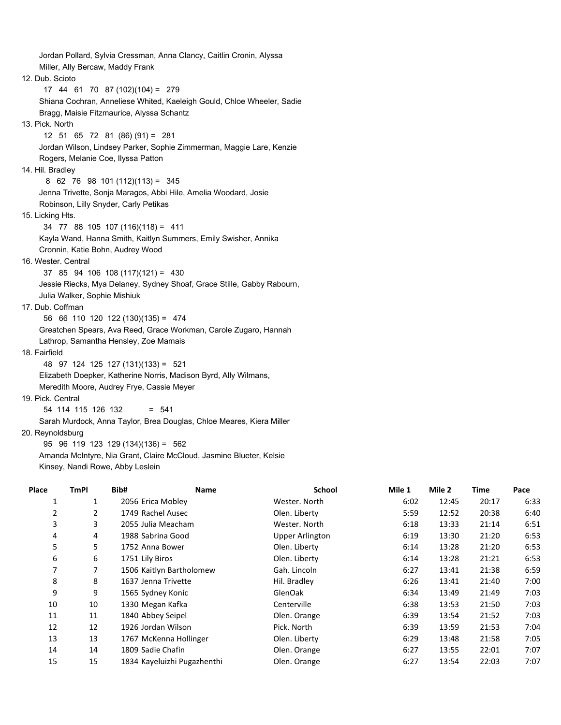Jordan Pollard, Sylvia Cressman, Anna Clancy, Caitlin Cronin, Alyssa Miller, Ally Bercaw, Maddy Frank 12. Dub. Scioto 17 44 61 70 87 (102)(104) = 279 Shiana Cochran, Anneliese Whited, Kaeleigh Gould, Chloe Wheeler, Sadie Bragg, Maisie Fitzmaurice, Alyssa Schantz 13. Pick. North 12 51 65 72 81 (86) (91) = 281 Jordan Wilson, Lindsey Parker, Sophie Zimmerman, Maggie Lare, Kenzie Rogers, Melanie Coe, Ilyssa Patton 14. Hil. Bradley 8 62 76 98 101 (112)(113) = 345 Jenna Trivette, Sonja Maragos, Abbi Hile, Amelia Woodard, Josie Robinson, Lilly Snyder, Carly Petikas 15. Licking Hts. 34 77 88 105 107 (116)(118) = 411 Kayla Wand, Hanna Smith, Kaitlyn Summers, Emily Swisher, Annika Cronnin, Katie Bohn, Audrey Wood 16. Wester. Central 37 85 94 106 108 (117)(121) = 430 Jessie Riecks, Mya Delaney, Sydney Shoaf, Grace Stille, Gabby Rabourn, Julia Walker, Sophie Mishiuk 17. Dub. Coffman 56 66 110 120 122 (130)(135) = 474 Greatchen Spears, Ava Reed, Grace Workman, Carole Zugaro, Hannah Lathrop, Samantha Hensley, Zoe Mamais 18. Fairfield 48 97 124 125 127 (131)(133) = 521 Elizabeth Doepker, Katherine Norris, Madison Byrd, Ally Wilmans, Meredith Moore, Audrey Frye, Cassie Meyer 19. Pick. Central 54 114 115 126 132 = 541 Sarah Murdock, Anna Taylor, Brea Douglas, Chloe Meares, Kiera Miller

20. Reynoldsburg

95 96 119 123 129 (134)(136) = 562

 Amanda McIntyre, Nia Grant, Claire McCloud, Jasmine Blueter, Kelsie Kinsey, Nandi Rowe, Abby Leslein

| Place          | TmPl           | Bib#                        | <b>Name</b> | <b>School</b>   | Mile 1 | Mile 2 | Time  | Pace |
|----------------|----------------|-----------------------------|-------------|-----------------|--------|--------|-------|------|
|                | 1              | 2056 Erica Mobley           |             | Wester. North   | 6:02   | 12:45  | 20:17 | 6:33 |
| $\overline{2}$ | $\overline{2}$ | 1749 Rachel Ausec           |             | Olen. Liberty   | 5:59   | 12:52  | 20:38 | 6:40 |
| 3              | 3              | 2055 Julia Meacham          |             | Wester. North   | 6:18   | 13:33  | 21:14 | 6:51 |
| 4              | 4              | 1988 Sabrina Good           |             | Upper Arlington | 6:19   | 13:30  | 21:20 | 6:53 |
| 5              | 5              | 1752 Anna Bower             |             | Olen. Liberty   | 6:14   | 13:28  | 21:20 | 6:53 |
| 6              | 6              | 1751 Lily Biros             |             | Olen. Liberty   | 6:14   | 13:28  | 21:21 | 6:53 |
| 7              |                | 1506 Kaitlyn Bartholomew    |             | Gah. Lincoln    | 6:27   | 13:41  | 21:38 | 6:59 |
| 8              | 8              | 1637 Jenna Trivette         |             | Hil. Bradley    | 6:26   | 13:41  | 21:40 | 7:00 |
| 9              | 9              | 1565 Sydney Konic           |             | GlenOak         | 6:34   | 13:49  | 21:49 | 7:03 |
| 10             | 10             | 1330 Megan Kafka            |             | Centerville     | 6:38   | 13:53  | 21:50 | 7:03 |
| 11             | 11             | 1840 Abbey Seipel           |             | Olen. Orange    | 6:39   | 13:54  | 21:52 | 7:03 |
| 12             | 12             | 1926 Jordan Wilson          |             | Pick. North     | 6:39   | 13:59  | 21:53 | 7:04 |
| 13             | 13             | 1767 McKenna Hollinger      |             | Olen. Liberty   | 6:29   | 13:48  | 21:58 | 7:05 |
| 14             | 14             | 1809 Sadie Chafin           |             | Olen. Orange    | 6:27   | 13:55  | 22:01 | 7:07 |
| 15             | 15             | 1834 Kayeluizhi Pugazhenthi |             | Olen. Orange    | 6:27   | 13:54  | 22:03 | 7:07 |
|                |                |                             |             |                 |        |        |       |      |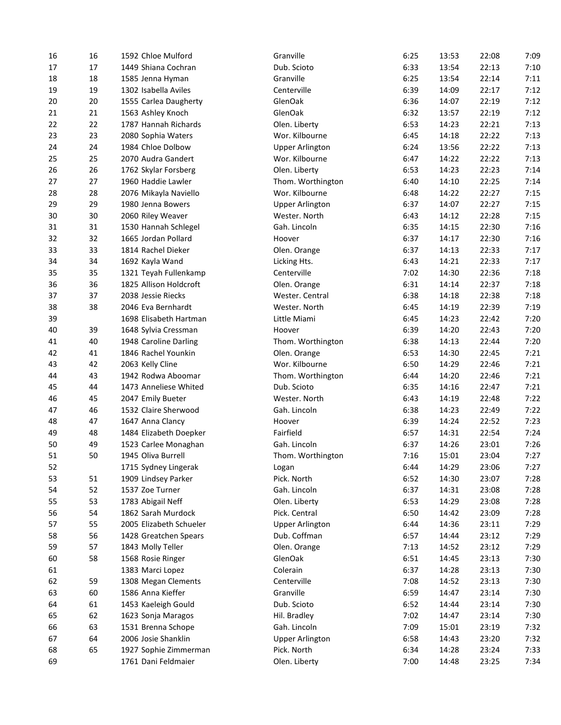| 16 | 16 | 1592 Chloe Mulford      | Granville              | 6:25 | 13:53 | 22:08 | 7:09 |
|----|----|-------------------------|------------------------|------|-------|-------|------|
| 17 | 17 | 1449 Shiana Cochran     | Dub. Scioto            | 6:33 | 13:54 | 22:13 | 7:10 |
| 18 | 18 | 1585 Jenna Hyman        | Granville              | 6:25 | 13:54 | 22:14 | 7:11 |
| 19 | 19 | 1302 Isabella Aviles    | Centerville            | 6:39 | 14:09 | 22:17 | 7:12 |
| 20 | 20 | 1555 Carlea Daugherty   | GlenOak                | 6:36 | 14:07 | 22:19 | 7:12 |
| 21 | 21 | 1563 Ashley Knoch       | GlenOak                | 6:32 | 13:57 | 22:19 | 7:12 |
| 22 | 22 | 1787 Hannah Richards    | Olen. Liberty          | 6:53 | 14:23 | 22:21 | 7:13 |
| 23 | 23 | 2080 Sophia Waters      | Wor. Kilbourne         | 6:45 | 14:18 | 22:22 | 7:13 |
| 24 | 24 | 1984 Chloe Dolbow       | <b>Upper Arlington</b> | 6:24 | 13:56 | 22:22 | 7:13 |
| 25 | 25 | 2070 Audra Gandert      | Wor. Kilbourne         | 6:47 | 14:22 | 22:22 | 7:13 |
| 26 | 26 | 1762 Skylar Forsberg    | Olen. Liberty          | 6:53 | 14:23 | 22:23 | 7:14 |
| 27 | 27 | 1960 Haddie Lawler      | Thom. Worthington      | 6:40 | 14:10 | 22:25 | 7:14 |
| 28 | 28 | 2076 Mikayla Naviello   | Wor. Kilbourne         | 6:48 | 14:22 | 22:27 | 7:15 |
| 29 | 29 | 1980 Jenna Bowers       | <b>Upper Arlington</b> | 6:37 | 14:07 | 22:27 | 7:15 |
| 30 | 30 | 2060 Riley Weaver       | Wester. North          | 6:43 | 14:12 | 22:28 | 7:15 |
| 31 | 31 | 1530 Hannah Schlegel    | Gah. Lincoln           | 6:35 | 14:15 | 22:30 | 7:16 |
| 32 | 32 | 1665 Jordan Pollard     | Hoover                 | 6:37 | 14:17 | 22:30 | 7:16 |
| 33 | 33 | 1814 Rachel Dieker      | Olen. Orange           | 6:37 | 14:13 | 22:33 | 7:17 |
| 34 | 34 | 1692 Kayla Wand         | Licking Hts.           | 6:43 | 14:21 | 22:33 | 7:17 |
| 35 | 35 | 1321 Teyah Fullenkamp   | Centerville            | 7:02 | 14:30 | 22:36 | 7:18 |
| 36 | 36 | 1825 Allison Holdcroft  | Olen. Orange           | 6:31 | 14:14 | 22:37 | 7:18 |
| 37 | 37 | 2038 Jessie Riecks      | Wester. Central        | 6:38 | 14:18 | 22:38 | 7:18 |
| 38 | 38 | 2046 Eva Bernhardt      | Wester. North          | 6:45 | 14:19 | 22:39 | 7:19 |
| 39 |    | 1698 Elisabeth Hartman  | Little Miami           | 6:45 | 14:23 | 22:42 | 7:20 |
| 40 | 39 |                         | Hoover                 |      |       | 22:43 | 7:20 |
|    | 40 | 1648 Sylvia Cressman    |                        | 6:39 | 14:20 | 22:44 | 7:20 |
| 41 |    | 1948 Caroline Darling   | Thom. Worthington      | 6:38 | 14:13 |       | 7:21 |
| 42 | 41 | 1846 Rachel Younkin     | Olen. Orange           | 6:53 | 14:30 | 22:45 |      |
| 43 | 42 | 2063 Kelly Cline        | Wor. Kilbourne         | 6:50 | 14:29 | 22:46 | 7:21 |
| 44 | 43 | 1942 Rodwa Aboomar      | Thom. Worthington      | 6:44 | 14:20 | 22:46 | 7:21 |
| 45 | 44 | 1473 Anneliese Whited   | Dub. Scioto            | 6:35 | 14:16 | 22:47 | 7:21 |
| 46 | 45 | 2047 Emily Bueter       | Wester. North          | 6:43 | 14:19 | 22:48 | 7:22 |
| 47 | 46 | 1532 Claire Sherwood    | Gah. Lincoln           | 6:38 | 14:23 | 22:49 | 7:22 |
| 48 | 47 | 1647 Anna Clancy        | Hoover                 | 6:39 | 14:24 | 22:52 | 7:23 |
| 49 | 48 | 1484 Elizabeth Doepker  | Fairfield              | 6:57 | 14:31 | 22:54 | 7:24 |
| 50 | 49 | 1523 Carlee Monaghan    | Gah. Lincoln           | 6:37 | 14:26 | 23:01 | 7:26 |
| 51 | 50 | 1945 Oliva Burrell      | Thom. Worthington      | 7:16 | 15:01 | 23:04 | 7:27 |
| 52 |    | 1715 Sydney Lingerak    | Logan                  | 6:44 | 14:29 | 23:06 | 7:27 |
| 53 | 51 | 1909 Lindsey Parker     | Pick. North            | 6:52 | 14:30 | 23:07 | 7:28 |
| 54 | 52 | 1537 Zoe Turner         | Gah. Lincoln           | 6:37 | 14:31 | 23:08 | 7:28 |
| 55 | 53 | 1783 Abigail Neff       | Olen. Liberty          | 6:53 | 14:29 | 23:08 | 7:28 |
| 56 | 54 | 1862 Sarah Murdock      | Pick. Central          | 6:50 | 14:42 | 23:09 | 7:28 |
| 57 | 55 | 2005 Elizabeth Schueler | <b>Upper Arlington</b> | 6:44 | 14:36 | 23:11 | 7:29 |
| 58 | 56 | 1428 Greatchen Spears   | Dub. Coffman           | 6:57 | 14:44 | 23:12 | 7:29 |
| 59 | 57 | 1843 Molly Teller       | Olen. Orange           | 7:13 | 14:52 | 23:12 | 7:29 |
| 60 | 58 | 1568 Rosie Ringer       | GlenOak                | 6:51 | 14:45 | 23:13 | 7:30 |
| 61 |    | 1383 Marci Lopez        | Colerain               | 6:37 | 14:28 | 23:13 | 7:30 |
| 62 | 59 | 1308 Megan Clements     | Centerville            | 7:08 | 14:52 | 23:13 | 7:30 |
| 63 | 60 | 1586 Anna Kieffer       | Granville              | 6:59 | 14:47 | 23:14 | 7:30 |
| 64 | 61 | 1453 Kaeleigh Gould     | Dub. Scioto            | 6:52 | 14:44 | 23:14 | 7:30 |
| 65 | 62 | 1623 Sonja Maragos      | Hil. Bradley           | 7:02 | 14:47 | 23:14 | 7:30 |
| 66 | 63 | 1531 Brenna Schope      | Gah. Lincoln           | 7:09 | 15:01 | 23:19 | 7:32 |
| 67 | 64 | 2006 Josie Shanklin     | <b>Upper Arlington</b> | 6:58 | 14:43 | 23:20 | 7:32 |
| 68 | 65 | 1927 Sophie Zimmerman   | Pick. North            | 6:34 | 14:28 | 23:24 | 7:33 |
| 69 |    | 1761 Dani Feldmaier     | Olen. Liberty          | 7:00 | 14:48 | 23:25 | 7:34 |
|    |    |                         |                        |      |       |       |      |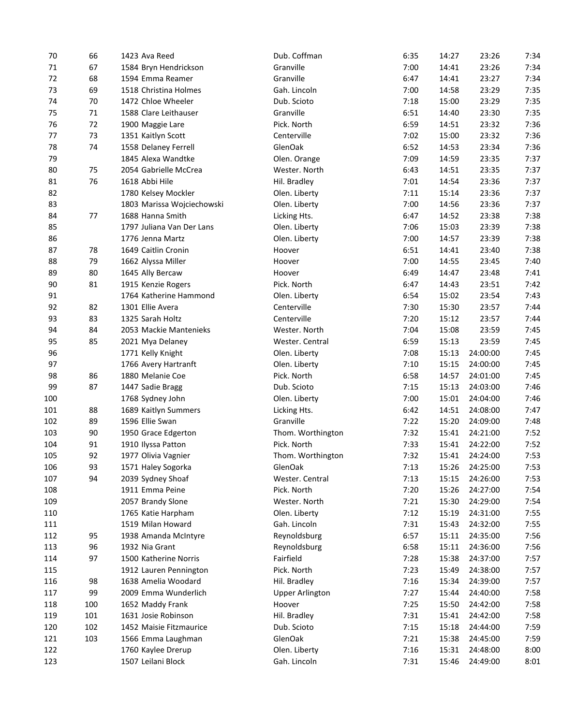| 70  | 66  | 1423 Ava Reed              | Dub. Coffman           | 6:35         | 14:27 | 23:26                | 7:34 |
|-----|-----|----------------------------|------------------------|--------------|-------|----------------------|------|
| 71  | 67  | 1584 Bryn Hendrickson      | Granville              | 7:00         | 14:41 | 23:26                | 7:34 |
| 72  | 68  | 1594 Emma Reamer           | Granville              | 6:47         | 14:41 | 23:27                | 7:34 |
| 73  | 69  | 1518 Christina Holmes      | Gah. Lincoln           | 7:00         | 14:58 | 23:29                | 7:35 |
| 74  | 70  | 1472 Chloe Wheeler         | Dub. Scioto            | 7:18         | 15:00 | 23:29                | 7:35 |
| 75  | 71  | 1588 Clare Leithauser      | Granville              | 6:51         | 14:40 | 23:30                | 7:35 |
| 76  | 72  | 1900 Maggie Lare           | Pick. North            | 6:59         | 14:51 | 23:32                | 7:36 |
| 77  | 73  | 1351 Kaitlyn Scott         | Centerville            | 7:02         | 15:00 | 23:32                | 7:36 |
| 78  | 74  | 1558 Delaney Ferrell       | GlenOak                | 6:52         | 14:53 | 23:34                | 7:36 |
| 79  |     | 1845 Alexa Wandtke         | Olen. Orange           | 7:09         | 14:59 | 23:35                | 7:37 |
| 80  | 75  | 2054 Gabrielle McCrea      | Wester. North          | 6:43         | 14:51 | 23:35                | 7:37 |
| 81  | 76  | 1618 Abbi Hile             | Hil. Bradley           | 7:01         | 14:54 | 23:36                | 7:37 |
| 82  |     | 1780 Kelsey Mockler        | Olen. Liberty          | 7:11         | 15:14 | 23:36                | 7:37 |
| 83  |     | 1803 Marissa Wojciechowski | Olen. Liberty          | 7:00         | 14:56 | 23:36                | 7:37 |
| 84  | 77  | 1688 Hanna Smith           | Licking Hts.           | 6:47         | 14:52 | 23:38                | 7:38 |
| 85  |     | 1797 Juliana Van Der Lans  | Olen. Liberty          | 7:06         | 15:03 | 23:39                | 7:38 |
| 86  |     | 1776 Jenna Martz           | Olen. Liberty          | 7:00         | 14:57 | 23:39                | 7:38 |
| 87  | 78  | 1649 Caitlin Cronin        | Hoover                 | 6:51         | 14:41 | 23:40                | 7:38 |
| 88  | 79  | 1662 Alyssa Miller         | Hoover                 | 7:00         | 14:55 | 23:45                | 7:40 |
| 89  | 80  | 1645 Ally Bercaw           | Hoover                 | 6:49         | 14:47 | 23:48                | 7:41 |
| 90  | 81  | 1915 Kenzie Rogers         | Pick. North            | 6:47         | 14:43 | 23:51                | 7:42 |
| 91  |     | 1764 Katherine Hammond     | Olen. Liberty          | 6:54         | 15:02 | 23:54                | 7:43 |
| 92  | 82  | 1301 Ellie Avera           | Centerville            | 7:30         | 15:30 | 23:57                | 7:44 |
| 93  | 83  | 1325 Sarah Holtz           | Centerville            | 7:20         | 15:12 | 23:57                | 7:44 |
| 94  | 84  | 2053 Mackie Mantenieks     | Wester. North          | 7:04         | 15:08 | 23:59                | 7:45 |
| 95  | 85  | 2021 Mya Delaney           | Wester. Central        | 6:59         | 15:13 | 23:59                | 7:45 |
| 96  |     | 1771 Kelly Knight          | Olen. Liberty          | 7:08         | 15:13 | 24:00:00             | 7:45 |
| 97  |     |                            |                        |              |       |                      | 7:45 |
| 98  | 86  | 1766 Avery Hartranft       | Olen. Liberty          | 7:10         | 15:15 | 24:00:00<br>24:01:00 | 7:45 |
| 99  | 87  | 1880 Melanie Coe           | Pick. North            | 6:58         | 14:57 |                      | 7:46 |
|     |     | 1447 Sadie Bragg           | Dub. Scioto            | 7:15<br>7:00 | 15:13 | 24:03:00             | 7:46 |
| 100 |     | 1768 Sydney John           | Olen. Liberty          |              | 15:01 | 24:04:00             |      |
| 101 | 88  | 1689 Kaitlyn Summers       | Licking Hts.           | 6:42         | 14:51 | 24:08:00             | 7:47 |
| 102 | 89  | 1596 Ellie Swan            | Granville              | 7:22         | 15:20 | 24:09:00             | 7:48 |
| 103 | 90  | 1950 Grace Edgerton        | Thom. Worthington      | 7:32         | 15:41 | 24:21:00             | 7:52 |
| 104 | 91  | 1910 Ilyssa Patton         | Pick. North            | 7:33         | 15:41 | 24:22:00             | 7:52 |
| 105 | 92  | 1977 Olivia Vagnier        | Thom. Worthington      | 7:32         | 15:41 | 24:24:00             | 7:53 |
| 106 | 93  | 1571 Haley Sogorka         | GlenOak                | 7:13         | 15:26 | 24:25:00             | 7:53 |
| 107 | 94  | 2039 Sydney Shoaf          | Wester. Central        | 7:13         | 15:15 | 24:26:00             | 7:53 |
| 108 |     | 1911 Emma Peine            | Pick. North            | 7:20         | 15:26 | 24:27:00             | 7:54 |
| 109 |     | 2057 Brandy Slone          | Wester. North          | 7:21         | 15:30 | 24:29:00             | 7:54 |
| 110 |     | 1765 Katie Harpham         | Olen. Liberty          | 7:12         | 15:19 | 24:31:00             | 7:55 |
| 111 |     | 1519 Milan Howard          | Gah. Lincoln           | 7:31         | 15:43 | 24:32:00             | 7:55 |
| 112 | 95  | 1938 Amanda McIntyre       | Reynoldsburg           | 6:57         | 15:11 | 24:35:00             | 7:56 |
| 113 | 96  | 1932 Nia Grant             | Reynoldsburg           | 6:58         | 15:11 | 24:36:00             | 7:56 |
| 114 | 97  | 1500 Katherine Norris      | Fairfield              | 7:28         | 15:38 | 24:37:00             | 7:57 |
| 115 |     | 1912 Lauren Pennington     | Pick. North            | 7:23         | 15:49 | 24:38:00             | 7:57 |
| 116 | 98  | 1638 Amelia Woodard        | Hil. Bradley           | 7:16         | 15:34 | 24:39:00             | 7:57 |
| 117 | 99  | 2009 Emma Wunderlich       | <b>Upper Arlington</b> | 7:27         | 15:44 | 24:40:00             | 7:58 |
| 118 | 100 | 1652 Maddy Frank           | Hoover                 | 7:25         | 15:50 | 24:42:00             | 7:58 |
| 119 | 101 | 1631 Josie Robinson        | Hil. Bradley           | 7:31         | 15:41 | 24:42:00             | 7:58 |
| 120 | 102 | 1452 Maisie Fitzmaurice    | Dub. Scioto            | 7:15         | 15:18 | 24:44:00             | 7:59 |
| 121 | 103 | 1566 Emma Laughman         | GlenOak                | 7:21         | 15:38 | 24:45:00             | 7:59 |
| 122 |     | 1760 Kaylee Drerup         | Olen. Liberty          | 7:16         | 15:31 | 24:48:00             | 8:00 |
| 123 |     | 1507 Leilani Block         | Gah. Lincoln           | 7:31         | 15:46 | 24:49:00             | 8:01 |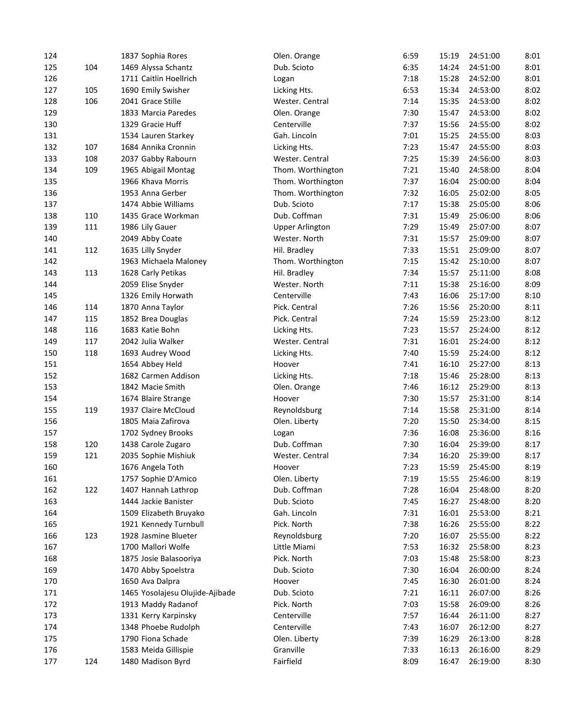| 124 |     | 1837 Sophia Rores               | Olen. Orange           | 6:59         | 15:19          | 24:51:00             | 8:01 |
|-----|-----|---------------------------------|------------------------|--------------|----------------|----------------------|------|
| 125 | 104 | 1469 Alyssa Schantz             | Dub. Scioto            | 6:35         | 14:24          | 24:51:00             | 8:01 |
| 126 |     | 1711 Caitlin Hoellrich          | Logan                  | 7:18         | 15:28          | 24:52:00             | 8:01 |
| 127 | 105 | 1690 Emily Swisher              | Licking Hts.           | 6:53         | 15:34          | 24:53:00             | 8:02 |
| 128 | 106 | 2041 Grace Stille               | Wester. Central        | 7:14         | 15:35          | 24:53:00             | 8:02 |
| 129 |     | 1833 Marcia Paredes             | Olen. Orange           | 7:30         | 15:47          | 24:53:00             | 8:02 |
| 130 |     | 1329 Gracie Huff                | Centerville            | 7:37         | 15:56          | 24:55:00             | 8:02 |
| 131 |     | 1534 Lauren Starkey             | Gah. Lincoln           | 7:01         | 15:25          | 24:55:00             | 8:03 |
| 132 | 107 | 1684 Annika Cronnin             | Licking Hts.           | 7:23         | 15:47          | 24:55:00             | 8:03 |
| 133 | 108 | 2037 Gabby Rabourn              | Wester. Central        | 7:25         | 15:39          | 24:56:00             | 8:03 |
| 134 | 109 | 1965 Abigail Montag             | Thom. Worthington      | 7:21         | 15:40          | 24:58:00             | 8:04 |
| 135 |     | 1966 Khava Morris               | Thom. Worthington      | 7:37         | 16:04          | 25:00:00             | 8:04 |
| 136 |     | 1953 Anna Gerber                | Thom. Worthington      | 7:32         | 16:05          | 25:02:00             | 8:05 |
| 137 |     | 1474 Abbie Williams             | Dub. Scioto            | 7:17         | 15:38          | 25:05:00             | 8:06 |
| 138 | 110 | 1435 Grace Workman              | Dub. Coffman           | 7:31         | 15:49          | 25:06:00             | 8:06 |
| 139 | 111 | 1986 Lily Gauer                 | <b>Upper Arlington</b> | 7:29         | 15:49          | 25:07:00             | 8:07 |
| 140 |     | 2049 Abby Coate                 | Wester, North          | 7:31         | 15:57          | 25:09:00             | 8:07 |
| 141 | 112 | 1635 Lilly Snyder               | Hil. Bradley           | 7:33         | 15:51          | 25:09:00             | 8:07 |
| 142 |     | 1963 Michaela Maloney           | Thom. Worthington      | 7:15         | 15:42          | 25:10:00             | 8:07 |
| 143 | 113 | 1628 Carly Petikas              | Hil. Bradley           | 7:34         | 15:57          | 25:11:00             | 8:08 |
| 144 |     | 2059 Elise Snyder               | Wester. North          | 7:11         | 15:38          | 25:16:00             | 8:09 |
|     |     |                                 | Centerville            |              |                |                      | 8:10 |
| 145 |     | 1326 Emily Horwath              |                        | 7:43<br>7:26 | 16:06<br>15:56 | 25:17:00<br>25:20:00 | 8:11 |
| 146 | 114 | 1870 Anna Taylor                | Pick. Central          |              |                |                      |      |
| 147 | 115 | 1852 Brea Douglas               | Pick. Central          | 7:24         | 15:59          | 25:23:00             | 8:12 |
| 148 | 116 | 1683 Katie Bohn                 | Licking Hts.           | 7:23         | 15:57          | 25:24:00             | 8:12 |
| 149 | 117 | 2042 Julia Walker               | Wester. Central        | 7:31         | 16:01          | 25:24:00             | 8:12 |
| 150 | 118 | 1693 Audrey Wood                | Licking Hts.           | 7:40         | 15:59          | 25:24:00             | 8:12 |
| 151 |     | 1654 Abbey Held                 | Hoover                 | 7:41         | 16:10          | 25:27:00             | 8:13 |
| 152 |     | 1682 Carmen Addison             | Licking Hts.           | 7:18         | 15:46          | 25:28:00             | 8:13 |
| 153 |     | 1842 Macie Smith                | Olen. Orange           | 7:46         | 16:12          | 25:29:00             | 8:13 |
| 154 |     | 1674 Blaire Strange             | Hoover                 | 7:30         | 15:57          | 25:31:00             | 8:14 |
| 155 | 119 | 1937 Claire McCloud             | Reynoldsburg           | 7:14         | 15:58          | 25:31:00             | 8:14 |
| 156 |     | 1805 Maia Zafirova              | Olen. Liberty          | 7:20         | 15:50          | 25:34:00             | 8:15 |
| 157 |     | 1702 Sydney Brooks              | Logan                  | 7:36         | 16:08          | 25:36:00             | 8:16 |
| 158 | 120 | 1438 Carole Zugaro              | Dub. Coffman           | 7:30         | 16:04          | 25:39:00             | 8:17 |
| 159 | 121 | 2035 Sophie Mishiuk             | Wester. Central        | 7:34         | 16:20          | 25:39:00             | 8:17 |
| 160 |     | 1676 Angela Toth                | Hoover                 | 7:23         | 15:59          | 25:45:00             | 8:19 |
| 161 |     | 1757 Sophie D'Amico             | Olen. Liberty          | 7:19         | 15:55          | 25:46:00             | 8:19 |
| 162 | 122 | 1407 Hannah Lathrop             | Dub. Coffman           | 7:28         | 16:04          | 25:48:00             | 8:20 |
| 163 |     | 1444 Jackie Banister            | Dub. Scioto            | 7:45         | 16:27          | 25:48:00             | 8:20 |
| 164 |     | 1509 Elizabeth Bruyako          | Gah. Lincoln           | 7:31         | 16:01          | 25:53:00             | 8:21 |
| 165 |     | 1921 Kennedy Turnbull           | Pick. North            | 7:38         | 16:26          | 25:55:00             | 8:22 |
| 166 | 123 | 1928 Jasmine Blueter            | Reynoldsburg           | 7:20         | 16:07          | 25:55:00             | 8:22 |
| 167 |     | 1700 Mallori Wolfe              | Little Miami           | 7:53         | 16:32          | 25:58:00             | 8:23 |
| 168 |     | 1875 Josie Balasooriya          | Pick. North            | 7:03         | 15:48          | 25:58:00             | 8:23 |
| 169 |     | 1470 Abby Spoelstra             | Dub. Scioto            | 7:30         | 16:04          | 26:00:00             | 8:24 |
| 170 |     | 1650 Ava Dalpra                 | Hoover                 | 7:45         | 16:30          | 26:01:00             | 8:24 |
| 171 |     | 1465 Yosolajesu Olujide-Ajibade | Dub. Scioto            | 7:21         | 16:11          | 26:07:00             | 8:26 |
| 172 |     | 1913 Maddy Radanof              | Pick. North            | 7:03         | 15:58          | 26:09:00             | 8:26 |
| 173 |     | 1331 Kerry Karpinsky            | Centerville            | 7:57         | 16:44          | 26:11:00             | 8:27 |
| 174 |     | 1348 Phoebe Rudolph             | Centerville            | 7:43         | 16:07          | 26:12:00             | 8:27 |
| 175 |     | 1790 Fiona Schade               | Olen. Liberty          | 7:39         | 16:29          | 26:13:00             | 8:28 |
| 176 |     | 1583 Meida Gillispie            | Granville              | 7:33         | 16:13          | 26:16:00             | 8:29 |
| 177 | 124 | 1480 Madison Byrd               | Fairfield              | 8:09         | 16:47          | 26:19:00             | 8:30 |
|     |     |                                 |                        |              |                |                      |      |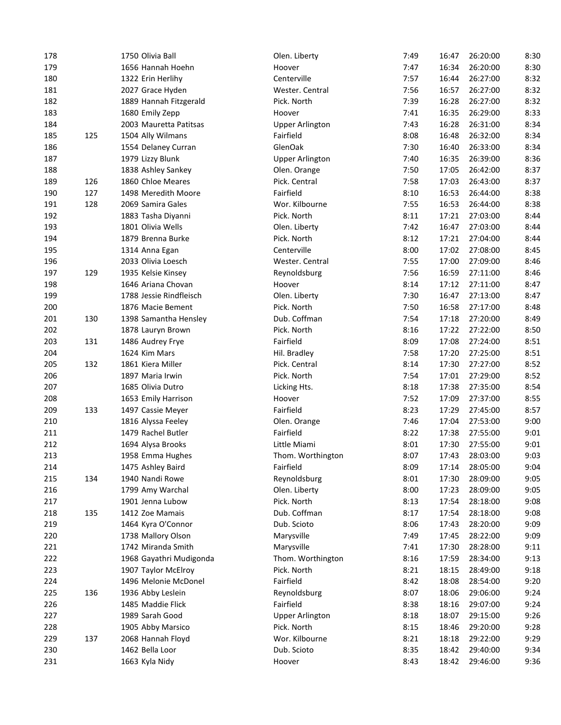| 178        |     | 1750 Olivia Ball        | Olen. Liberty          | 7:49 | 16:47 | 26:20:00 | 8:30 |
|------------|-----|-------------------------|------------------------|------|-------|----------|------|
| 179        |     | 1656 Hannah Hoehn       | Hoover                 | 7:47 | 16:34 | 26:20:00 | 8:30 |
| 180        |     | 1322 Erin Herlihy       | Centerville            | 7:57 | 16:44 | 26:27:00 | 8:32 |
| 181        |     | 2027 Grace Hyden        | Wester. Central        | 7:56 | 16:57 | 26:27:00 | 8:32 |
| 182        |     | 1889 Hannah Fitzgerald  | Pick. North            | 7:39 | 16:28 | 26:27:00 | 8:32 |
| 183        |     | 1680 Emily Zepp         | Hoover                 | 7:41 | 16:35 | 26:29:00 | 8:33 |
| 184        |     | 2003 Mauretta Patitsas  | <b>Upper Arlington</b> | 7:43 | 16:28 | 26:31:00 | 8:34 |
| 185        | 125 | 1504 Ally Wilmans       | Fairfield              | 8:08 | 16:48 | 26:32:00 | 8:34 |
| 186        |     | 1554 Delaney Curran     | GlenOak                | 7:30 | 16:40 | 26:33:00 | 8:34 |
| 187        |     | 1979 Lizzy Blunk        | <b>Upper Arlington</b> | 7:40 | 16:35 | 26:39:00 | 8:36 |
| 188        |     | 1838 Ashley Sankey      | Olen. Orange           | 7:50 | 17:05 | 26:42:00 | 8:37 |
| 189        | 126 | 1860 Chloe Meares       | Pick. Central          | 7:58 | 17:03 | 26:43:00 | 8:37 |
| 190        | 127 | 1498 Meredith Moore     | Fairfield              | 8:10 | 16:53 | 26:44:00 | 8:38 |
| 191        | 128 | 2069 Samira Gales       | Wor. Kilbourne         | 7:55 | 16:53 | 26:44:00 | 8:38 |
| 192        |     | 1883 Tasha Diyanni      | Pick. North            | 8:11 | 17:21 | 27:03:00 | 8:44 |
| 193        |     | 1801 Olivia Wells       | Olen. Liberty          | 7:42 | 16:47 | 27:03:00 | 8:44 |
| 194        |     | 1879 Brenna Burke       | Pick. North            | 8:12 | 17:21 | 27:04:00 | 8:44 |
| 195        |     | 1314 Anna Egan          | Centerville            | 8:00 | 17:02 | 27:08:00 | 8:45 |
| 196        |     | 2033 Olivia Loesch      | Wester. Central        | 7:55 | 17:00 | 27:09:00 | 8:46 |
| 197        | 129 | 1935 Kelsie Kinsey      | Reynoldsburg           | 7:56 | 16:59 | 27:11:00 | 8:46 |
| 198        |     | 1646 Ariana Chovan      | Hoover                 | 8:14 | 17:12 | 27:11:00 | 8:47 |
| 199        |     | 1788 Jessie Rindfleisch | Olen. Liberty          | 7:30 | 16:47 | 27:13:00 | 8:47 |
|            |     |                         | Pick. North            | 7:50 |       | 27:17:00 | 8:48 |
| 200<br>201 | 130 | 1876 Macie Bement       |                        | 7:54 | 16:58 | 27:20:00 | 8:49 |
|            |     | 1398 Samantha Hensley   | Dub. Coffman           |      | 17:18 |          |      |
| 202        |     | 1878 Lauryn Brown       | Pick. North            | 8:16 | 17:22 | 27:22:00 | 8:50 |
| 203        | 131 | 1486 Audrey Frye        | Fairfield              | 8:09 | 17:08 | 27:24:00 | 8:51 |
| 204        |     | 1624 Kim Mars           | Hil. Bradley           | 7:58 | 17:20 | 27:25:00 | 8:51 |
| 205        | 132 | 1861 Kiera Miller       | Pick. Central          | 8:14 | 17:30 | 27:27:00 | 8:52 |
| 206        |     | 1897 Maria Irwin        | Pick. North            | 7:54 | 17:01 | 27:29:00 | 8:52 |
| 207        |     | 1685 Olivia Dutro       | Licking Hts.           | 8:18 | 17:38 | 27:35:00 | 8:54 |
| 208        |     | 1653 Emily Harrison     | Hoover                 | 7:52 | 17:09 | 27:37:00 | 8:55 |
| 209        | 133 | 1497 Cassie Meyer       | Fairfield              | 8:23 | 17:29 | 27:45:00 | 8:57 |
| 210        |     | 1816 Alyssa Feeley      | Olen. Orange           | 7:46 | 17:04 | 27:53:00 | 9:00 |
| 211        |     | 1479 Rachel Butler      | Fairfield              | 8:22 | 17:38 | 27:55:00 | 9:01 |
| 212        |     | 1694 Alysa Brooks       | Little Miami           | 8:01 | 17:30 | 27:55:00 | 9:01 |
| 213        |     | 1958 Emma Hughes        | Thom. Worthington      | 8:07 | 17:43 | 28:03:00 | 9:03 |
| 214        |     | 1475 Ashley Baird       | Fairfield              | 8:09 | 17:14 | 28:05:00 | 9:04 |
| 215        | 134 | 1940 Nandi Rowe         | Reynoldsburg           | 8:01 | 17:30 | 28:09:00 | 9:05 |
| 216        |     | 1799 Amy Warchal        | Olen. Liberty          | 8:00 | 17:23 | 28:09:00 | 9:05 |
| 217        |     | 1901 Jenna Lubow        | Pick. North            | 8:13 | 17:54 | 28:18:00 | 9:08 |
| 218        | 135 | 1412 Zoe Mamais         | Dub. Coffman           | 8:17 | 17:54 | 28:18:00 | 9:08 |
| 219        |     | 1464 Kyra O'Connor      | Dub. Scioto            | 8:06 | 17:43 | 28:20:00 | 9:09 |
| 220        |     | 1738 Mallory Olson      | Marysville             | 7:49 | 17:45 | 28:22:00 | 9:09 |
| 221        |     | 1742 Miranda Smith      | Marysville             | 7:41 | 17:30 | 28:28:00 | 9:11 |
| 222        |     | 1968 Gayathri Mudigonda | Thom. Worthington      | 8:16 | 17:59 | 28:34:00 | 9:13 |
| 223        |     | 1907 Taylor McElroy     | Pick. North            | 8:21 | 18:15 | 28:49:00 | 9:18 |
| 224        |     | 1496 Melonie McDonel    | Fairfield              | 8:42 | 18:08 | 28:54:00 | 9:20 |
| 225        | 136 | 1936 Abby Leslein       | Reynoldsburg           | 8:07 | 18:06 | 29:06:00 | 9:24 |
| 226        |     | 1485 Maddie Flick       | Fairfield              | 8:38 | 18:16 | 29:07:00 | 9:24 |
| 227        |     | 1989 Sarah Good         | <b>Upper Arlington</b> | 8:18 | 18:07 | 29:15:00 | 9:26 |
| 228        |     | 1905 Abby Marsico       | Pick. North            | 8:15 | 18:46 | 29:20:00 | 9:28 |
| 229        | 137 | 2068 Hannah Floyd       | Wor. Kilbourne         | 8:21 | 18:18 | 29:22:00 | 9:29 |
| 230        |     | 1462 Bella Loor         | Dub. Scioto            | 8:35 | 18:42 | 29:40:00 | 9:34 |
| 231        |     | 1663 Kyla Nidy          | Hoover                 | 8:43 | 18:42 | 29:46:00 | 9:36 |
|            |     |                         |                        |      |       |          |      |